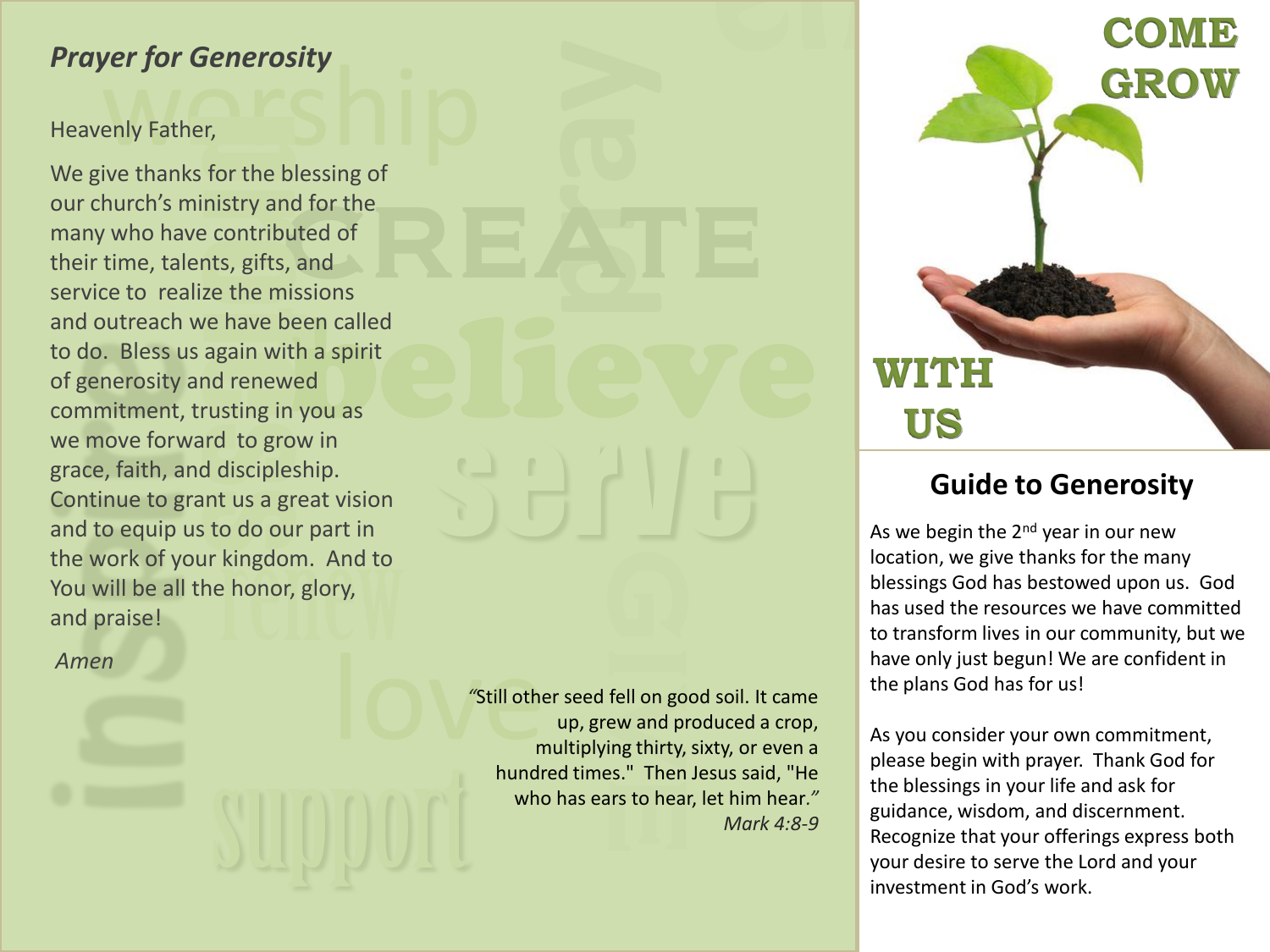## *Prayer for Generosity*

### Heavenly Father,

**yer for Generosity**<br>enly Father,<br>ive thanks for the blessing of **Generosity**<br>
er,<br>
s for the blessing of<br>
inistry and for the<br>
ve contributed of<br>
ents, gifts, and<br>
lize the missions<br>
we have been called<br>
s again with a spirit<br>
and renewed<br>
trusting in you as<br>
ard to grow in<br>
nd discipl We give thanks for the blessing of our church's ministry and for the many who have contributed of their time, talents, gifts, and service to realize the missions and outreach we have been called to do. Bless us again with a spirit of generosity and renewed commitment, trusting in you as we move forward to grow in grace, faith, and discipleship. Continue to grant us a great vision and to equip us to do our part in the work of your kingdom. And to You will be all the honor, glory, and praise!

*Amen*

fell on good<br>ew and proting thirty, it<br>is." Then .<br>irs to hear, all other<br>
and the state of the state of the state of the state of the state of the state of the state of the state of the state of the state of the state of the state of the state of the state of the state of the state of *"*Still other seed fell on good soil. It came up, grew and produced a crop, multiplying thirty, sixty, or even a hundred times." Then Jesus said, "He who has ears to hear, let him hear*." Mark 4:8-9*

serve

# **COME GROW WITH US**

## **Guide to Generosity**

As we begin the  $2<sup>nd</sup>$  year in our new location, we give thanks for the many blessings God has bestowed upon us. God has used the resources we have committed to transform lives in our community, but we have only just begun! We are confident in the plans God has for us!

As you consider your own commitment, please begin with prayer. Thank God for the blessings in your life and ask for guidance, wisdom, and discernment. Recognize that your offerings express both your desire to serve the Lord and your investment in God's work.